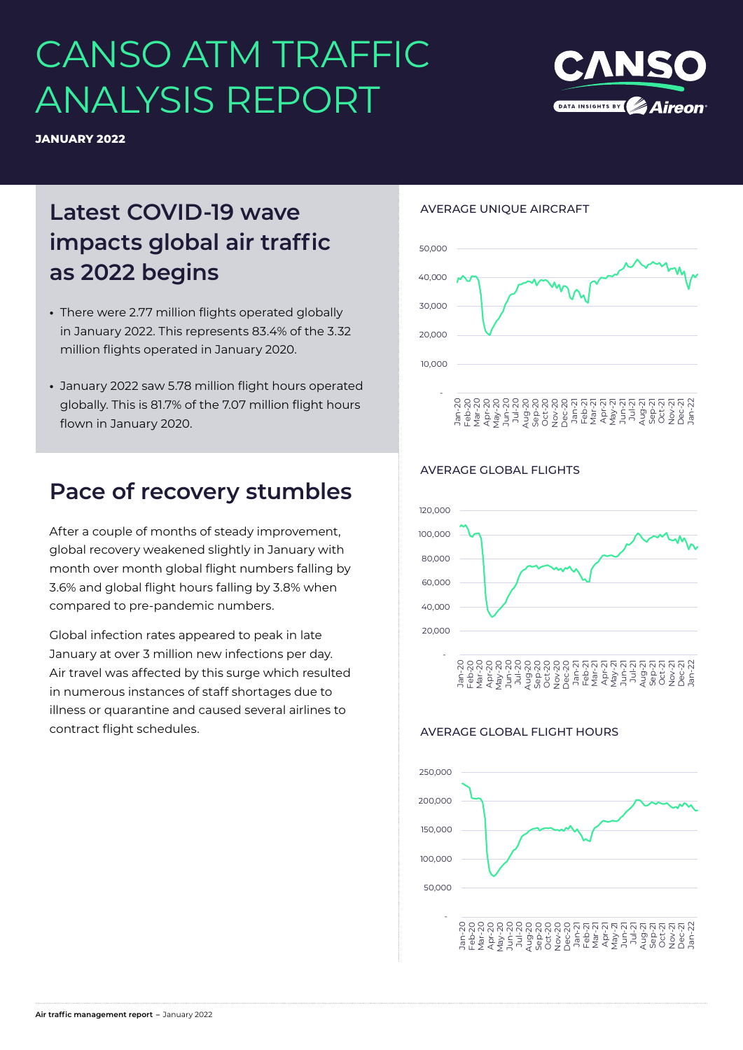# CANSO ATM TRAFFIC ANALYSIS REPORT



## **Latest COVID-19 wave impacts global air traffic as 2022 begins**

- **•** There were 2.77 million flights operated globally in January 2022. This represents 83.4% of the 3.32 million flights operated in January 2020.
- **•** January 2022 saw 5.78 million flight hours operated globally. This is 81.7% of the 7.07 million flight hours flown in January 2020.

### **Pace of recovery stumbles**

After a couple of months of steady improvement, global recovery weakened slightly in January with month over month global flight numbers falling by 3.6% and global flight hours falling by 3.8% when compared to pre-pandemic numbers.

Global infection rates appeared to peak in late January at over 3 million new infections per day. Air travel was affected by this surge which resulted in numerous instances of staff shortages due to illness or quarantine and caused several airlines to contract flight schedules.

#### AVERAGE UNIQUE AIRCRAFT



#### AVERAGE GLOBAL FLIGHTS



#### AVERAGE GLOBAL FLIGHT HOURS



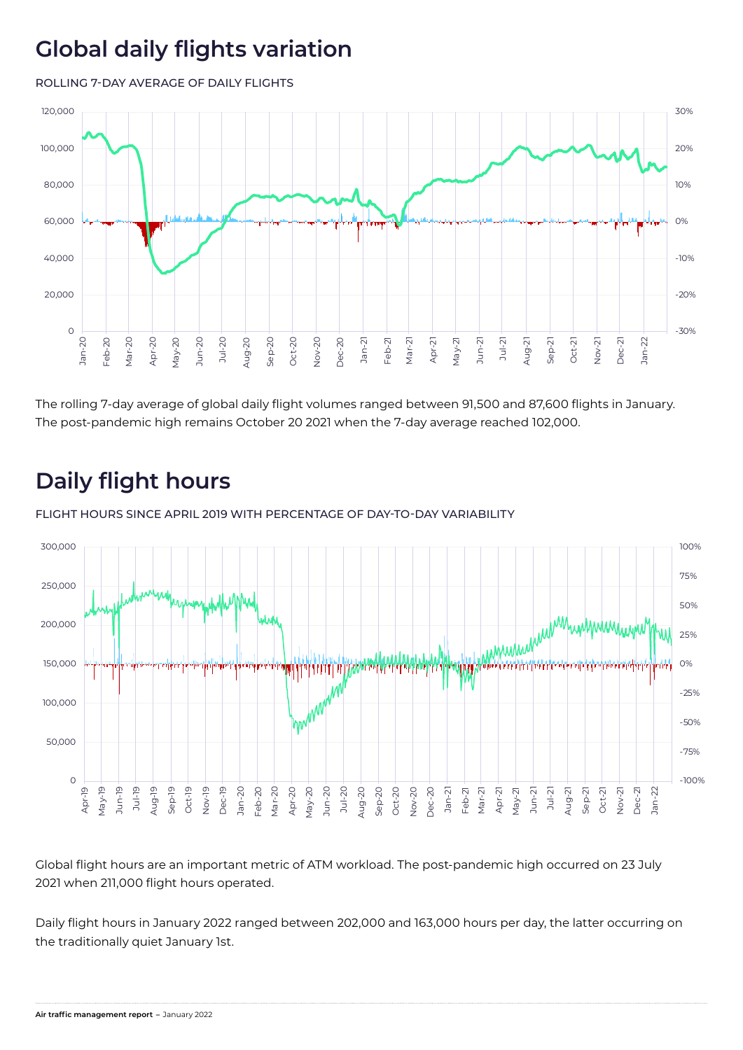# **Global daily flights variation**

ROLLING 7-DAY AVERAGE OF DAILY FLIGHTS



The rolling 7-day average of global daily flight volumes ranged between 91,500 and 87,600 flights in January. The post-pandemic high remains October 20 2021 when the 7-day average reached 102,000.

# **Daily flight hours**

FLIGHT HOURS SINCE APRIL 2019 WITH PERCENTAGE OF DAY-TO-DAY VARIABILITY



Global flight hours are an important metric of ATM workload. The post-pandemic high occurred on 23 July 2021 when 211,000 flight hours operated.

Daily flight hours in January 2022 ranged between 202,000 and 163,000 hours per day, the latter occurring on the traditionally quiet January 1st.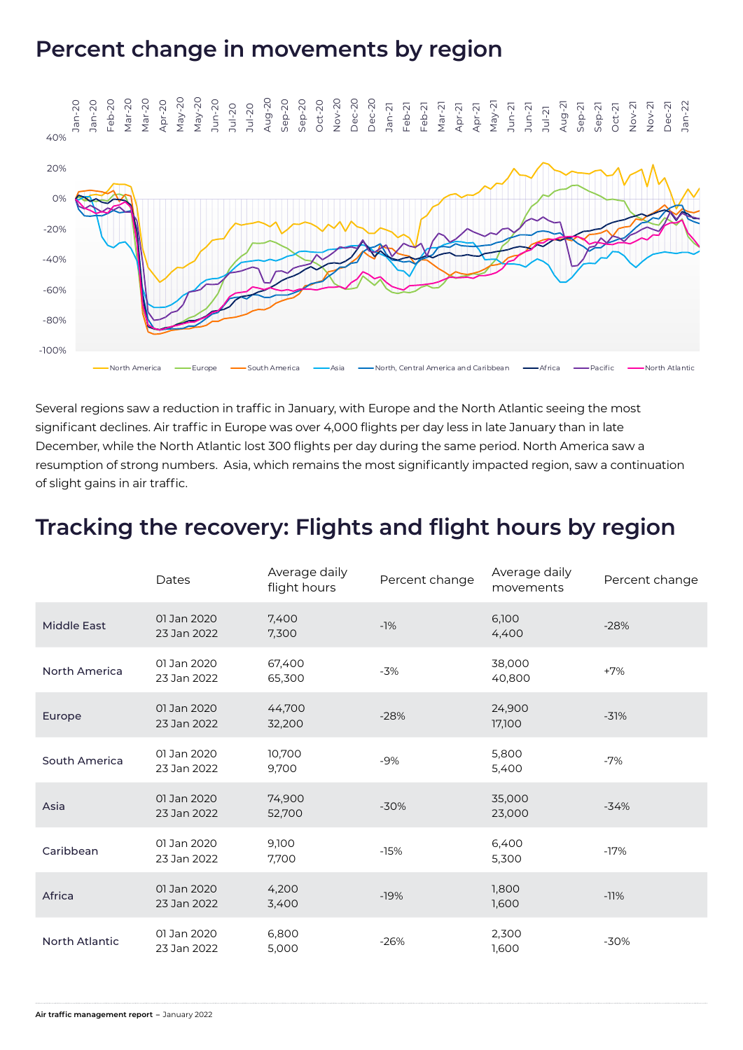### **Percent change in movements by region**



Several regions saw a reduction in traffic in January, with Europe and the North Atlantic seeing the most significant declines. Air traffic in Europe was over 4,000 flights per day less in late January than in late December, while the North Atlantic lost 300 flights per day during the same period. North America saw a resumption of strong numbers. Asia, which remains the most significantly impacted region, saw a continuation of slight gains in air traffic.

### **Tracking the recovery: Flights and flight hours by region**

|                       | Dates                      | Average daily<br>flight hours | Percent change | Average daily<br>movements | Percent change |
|-----------------------|----------------------------|-------------------------------|----------------|----------------------------|----------------|
| <b>Middle East</b>    | 01 Jan 2020<br>23 Jan 2022 | 7,400<br>7,300                | $-1%$          | 6,100<br>4,400             | $-28%$         |
| North America         | 01 Jan 2020<br>23 Jan 2022 | 67,400<br>65,300              | $-3%$          | 38,000<br>40,800           | $+7%$          |
| Europe                | 01 Jan 2020<br>23 Jan 2022 | 44,700<br>32,200              | $-28%$         | 24,900<br>17,100           | $-31%$         |
| South America         | 01 Jan 2020<br>23 Jan 2022 | 10,700<br>9,700               | $-9%$          | 5,800<br>5,400             | $-7%$          |
| Asia                  | 01 Jan 2020<br>23 Jan 2022 | 74,900<br>52,700              | $-30%$         | 35,000<br>23,000           | $-34%$         |
| Caribbean             | 01 Jan 2020<br>23 Jan 2022 | 9,100<br>7,700                | $-15%$         | 6,400<br>5,300             | $-17%$         |
| Africa                | 01 Jan 2020<br>23 Jan 2022 | 4,200<br>3,400                | $-19%$         | 1,800<br>1,600             | $-11%$         |
| <b>North Atlantic</b> | 01 Jan 2020<br>23 Jan 2022 | 6,800<br>5,000                | $-26%$         | 2,300<br>1,600             | $-30%$         |